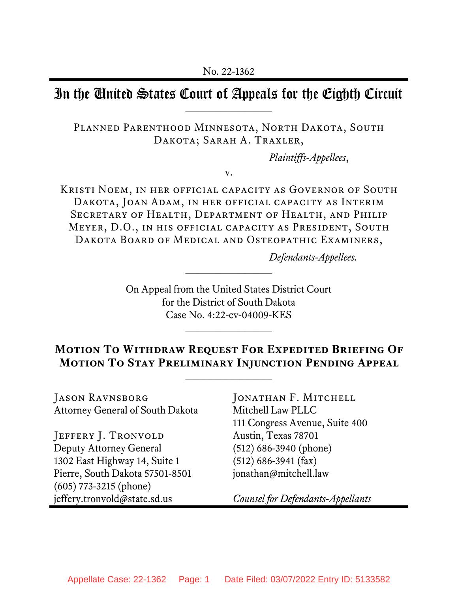## In the United States Court of Appeals for the Eighth Circuit

PLANNED PARENTHOOD MINNESOTA, NORTH DAKOTA, SOUTH DAKOTA; SARAH A. TRAXLER,

*Plaintiffs-Appellees*,

v.

Kristi Noem, in her official capacity as Governor of South Dakota, Joan Adam, in her official capacity as Interim Secretary of Health, Department of Health, and Philip Meyer, D.O., in his official capacity as President, South DAKOTA BOARD OF MEDICAL AND OSTEOPATHIC EXAMINERS,

*Defendants-Appellees.*

On Appeal from the United States District Court for the District of South Dakota Case No. 4:22-cv-04009-KES

## **Motion To Withdraw Request For Expedited Briefing Of Motion To Stay Preliminary Injunction Pending Appeal**

 $\mathcal{L}_\text{max}$ 

Jason Ravnsborg Attorney General of South Dakota

JEFFERY J. TRONVOLD Deputy Attorney General 1302 East Highway 14, Suite 1 Pierre, South Dakota 57501-8501 (605) 773-3215 (phone) jeffery.tronvold@state.sd.us

JONATHAN F. MITCHELL Mitchell Law PLLC 111 Congress Avenue, Suite 400 Austin, Texas 78701 (512) 686-3940 (phone) (512) 686-3941 (fax) jonathan@mitchell.law

*Counsel for Defendants-Appellants*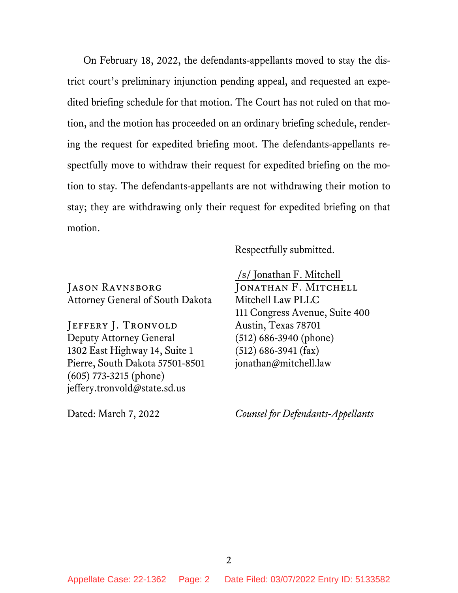On February 18, 2022, the defendants-appellants moved to stay the district court's preliminary injunction pending appeal, and requested an expedited briefing schedule for that motion. The Court has not ruled on that motion, and the motion has proceeded on an ordinary briefing schedule, rendering the request for expedited briefing moot. The defendants-appellants respectfully move to withdraw their request for expedited briefing on the motion to stay. The defendants-appellants are not withdrawing their motion to stay; they are withdrawing only their request for expedited briefing on that motion.

Respectfully submitted.

Jason Ravnsborg Attorney General of South Dakota

JEFFERY J. TRONVOLD Deputy Attorney General 1302 East Highway 14, Suite 1 Pierre, South Dakota 57501-8501 (605) 773-3215 (phone) jeffery.tronvold@state.sd.us

Dated: March 7, 2022

/s/ Jonathan F. Mitchell

JONATHAN F. MITCHELL Mitchell Law PLLC 111 Congress Avenue, Suite 400 Austin, Texas 78701 (512) 686-3940 (phone) (512) 686-3941 (fax) jonathan@mitchell.law

*Counsel for Defendants-Appellants*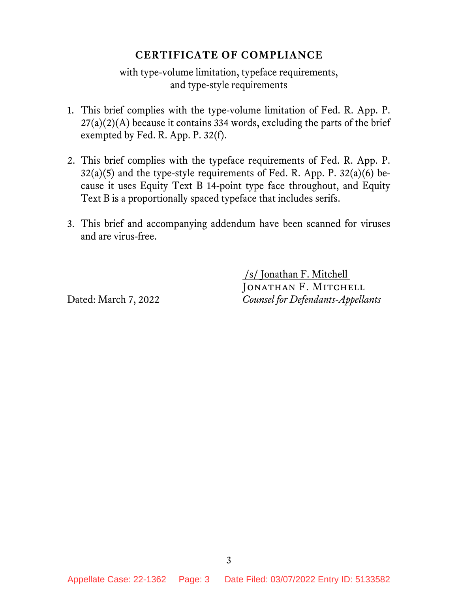## **CERTIFICATE OF COMPLIANCE**

with type-volume limitation, typeface requirements, and type-style requirements

- 1. This brief complies with the type-volume limitation of Fed. R. App. P.  $27(a)(2)(A)$  because it contains 334 words, excluding the parts of the brief exempted by Fed. R. App. P. 32(f).
- 2. This brief complies with the typeface requirements of Fed. R. App. P.  $32(a)(5)$  and the type-style requirements of Fed. R. App. P.  $32(a)(6)$  because it uses Equity Text B 14-point type face throughout, and Equity Text B is a proportionally spaced typeface that includes serifs.
- 3. This brief and accompanying addendum have been scanned for viruses and are virus-free.

/s/ Jonathan F. Mitchell JONATHAN F. MITCHELL Dated: March 7, 2022 *Counsel for Defendants-Appellants*